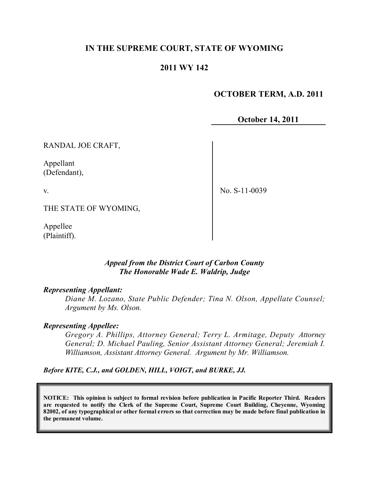## **IN THE SUPREME COURT, STATE OF WYOMING**

## **2011 WY 142**

## **OCTOBER TERM, A.D. 2011**

### **October 14, 2011**

RANDAL JOE CRAFT,

Appellant (Defendant),

v.

No. S-11-0039

THE STATE OF WYOMING,

Appellee (Plaintiff).

#### *Appeal from the District Court of Carbon County The Honorable Wade E. Waldrip, Judge*

#### *Representing Appellant:*

*Diane M. Lozano, State Public Defender; Tina N. Olson, Appellate Counsel; Argument by Ms. Olson.*

#### *Representing Appellee:*

*Gregory A. Phillips, Attorney General; Terry L. Armitage, Deputy Attorney General; D. Michael Pauling, Senior Assistant Attorney General; Jeremiah I. Williamson, Assistant Attorney General. Argument by Mr. Williamson.*

*Before KITE, C.J., and GOLDEN, HILL, VOIGT, and BURKE, JJ.*

**NOTICE: This opinion is subject to formal revision before publication in Pacific Reporter Third. Readers are requested to notify the Clerk of the Supreme Court, Supreme Court Building, Cheyenne, Wyoming** 82002, of any typographical or other formal errors so that correction may be made before final publication in **the permanent volume.**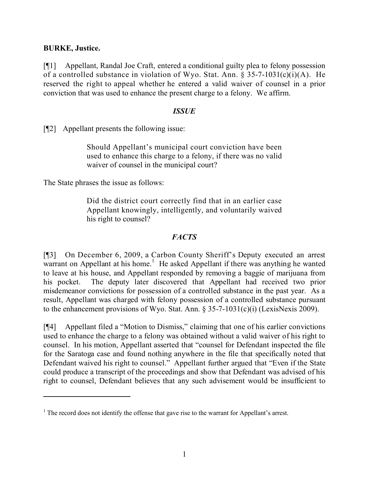## **BURKE, Justice.**

[¶1] Appellant, Randal Joe Craft, entered a conditional guilty plea to felony possession of a controlled substance in violation of Wyo. Stat. Ann. § 35-7-1031(c)(i)(A). He reserved the right to appeal whether he entered a valid waiver of counsel in a prior conviction that was used to enhance the present charge to a felony. We affirm.

### *ISSUE*

[¶2] Appellant presents the following issue:

Should Appellant's municipal court conviction have been used to enhance this charge to a felony, if there was no valid waiver of counsel in the municipal court?

The State phrases the issue as follows:

Did the district court correctly find that in an earlier case Appellant knowingly, intelligently, and voluntarily waived his right to counsel?

## *FACTS*

[¶3] On December 6, 2009, a Carbon County Sheriff's Deputy executed an arrest warrant on Appellant at his home.<sup>1</sup> He asked Appellant if there was anything he wanted to leave at his house, and Appellant responded by removing a baggie of marijuana from his pocket. The deputy later discovered that Appellant had received two prior misdemeanor convictions for possession of a controlled substance in the past year. As a result, Appellant was charged with felony possession of a controlled substance pursuant to the enhancement provisions of Wyo. Stat. Ann. § 35-7-1031(c)(i) (LexisNexis 2009).

[¶4] Appellant filed a "Motion to Dismiss," claiming that one of his earlier convictions used to enhance the charge to a felony was obtained without a valid waiver of his right to counsel. In his motion, Appellant asserted that "counsel for Defendant inspected the file for the Saratoga case and found nothing anywhere in the file that specifically noted that Defendant waived his right to counsel." Appellant further argued that "Even if the State could produce a transcript of the proceedings and show that Defendant was advised of his right to counsel, Defendant believes that any such advisement would be insufficient to

 $<sup>1</sup>$  The record does not identify the offense that gave rise to the warrant for Appellant's arrest.</sup>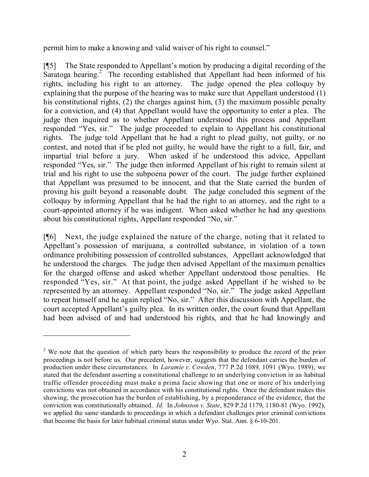permit him to make a knowing and valid waiver of his right to counsel."

[¶5] The State responded to Appellant's motion by producing a digital recording of the Saratoga hearing.<sup>2</sup> The recording established that Appellant had been informed of his rights, including his right to an attorney. The judge opened the plea colloquy by explaining that the purpose of the hearing was to make sure that Appellant understood (1) his constitutional rights, (2) the charges against him, (3) the maximum possible penalty for a conviction, and (4) that Appellant would have the opportunity to enter a plea. The judge then inquired as to whether Appellant understood this process and Appellant responded "Yes, sir." The judge proceeded to explain to Appellant his constitutional rights. The judge told Appellant that he had a right to plead guilty, not guilty, or no contest, and noted that if he pled not guilty, he would have the right to a full, fair, and impartial trial before a jury. When asked if he understood this advice, Appellant responded "Yes, sir." The judge then informed Appellant of his right to remain silent at trial and his right to use the subpoena power of the court. The judge further explained that Appellant was presumed to be innocent, and that the State carried the burden of proving his guilt beyond a reasonable doubt. The judge concluded this segment of the colloquy by informing Appellant that he had the right to an attorney, and the right to a court-appointed attorney if he was indigent. When asked whether he had any questions about his constitutional rights, Appellant responded "No, sir."

[¶6] Next, the judge explained the nature of the charge, noting that it related to Appellant's possession of marijuana, a controlled substance, in violation of a town ordinance prohibiting possession of controlled substances. Appellant acknowledged that he understood the charges. The judge then advised Appellant of the maximum penalties for the charged offense and asked whether Appellant understood those penalties. He responded "Yes, sir." At that point, the judge asked Appellant if he wished to be represented by an attorney. Appellant responded "No, sir." The judge asked Appellant to repeat himself and he again replied "No, sir." After this discussion with Appellant, the court accepted Appellant's guilty plea. In its written order, the court found that Appellant had been advised of and had understood his rights, and that he had knowingly and

<sup>&</sup>lt;sup>2</sup> We note that the question of which party bears the responsibility to produce the record of the prior proceedings is not before us. Our precedent, however, suggests that the defendant carries the burden of production under these circumstances. In *Laramie v. Cowden*, 777 P.2d 1089, 1091 (Wyo. 1989), we stated that the defendant asserting a constitutional challenge to an underlying conviction in an habitual traffic offender proceeding must make a prima facie showing that one or more of his underlying convictions was not obtained in accordance with his constitutional rights. Once the defendant makes this showing, the prosecution has the burden of establishing, by a preponderance of the evidence, that the conviction was constitutionally obtained. *Id.* In *Johnston v. State*, 829 P.2d 1179, 1180-81 (Wyo. 1992), we applied the same standards to proceedings in which a defendant challenges prior criminal convictions that become the basis for later habitual criminal status under Wyo. Stat. Ann. § 6-10-201.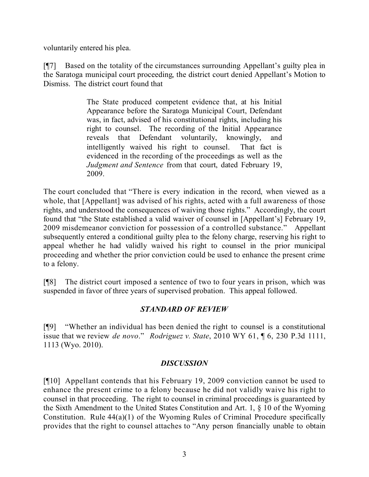voluntarily entered his plea.

[¶7] Based on the totality of the circumstances surrounding Appellant's guilty plea in the Saratoga municipal court proceeding, the district court denied Appellant's Motion to Dismiss. The district court found that

> The State produced competent evidence that, at his Initial Appearance before the Saratoga Municipal Court, Defendant was, in fact, advised of his constitutional rights, including his right to counsel. The recording of the Initial Appearance reveals that Defendant voluntarily, knowingly, and intelligently waived his right to counsel. That fact is evidenced in the recording of the proceedings as well as the *Judgment and Sentence* from that court, dated February 19, 2009.

The court concluded that "There is every indication in the record, when viewed as a whole, that [Appellant] was advised of his rights, acted with a full awareness of those rights, and understood the consequences of waiving those rights." Accordingly, the court found that "the State established a valid waiver of counsel in [Appellant's] February 19, 2009 misdemeanor conviction for possession of a controlled substance." Appellant subsequently entered a conditional guilty plea to the felony charge, reserving his right to appeal whether he had validly waived his right to counsel in the prior municipal proceeding and whether the prior conviction could be used to enhance the present crime to a felony.

[¶8] The district court imposed a sentence of two to four years in prison, which was suspended in favor of three years of supervised probation. This appeal followed.

# *STANDARD OF REVIEW*

[¶9] "Whether an individual has been denied the right to counsel is a constitutional issue that we review *de novo*." *Rodriguez v. State*, 2010 WY 61, ¶ 6, 230 P.3d 1111, 1113 (Wyo. 2010).

# *DISCUSSION*

[¶10] Appellant contends that his February 19, 2009 conviction cannot be used to enhance the present crime to a felony because he did not validly waive his right to counsel in that proceeding. The right to counsel in criminal proceedings is guaranteed by the Sixth Amendment to the United States Constitution and Art. 1, § 10 of the Wyoming Constitution. Rule 44(a)(1) of the Wyoming Rules of Criminal Procedure specifically provides that the right to counsel attaches to "Any person financially unable to obtain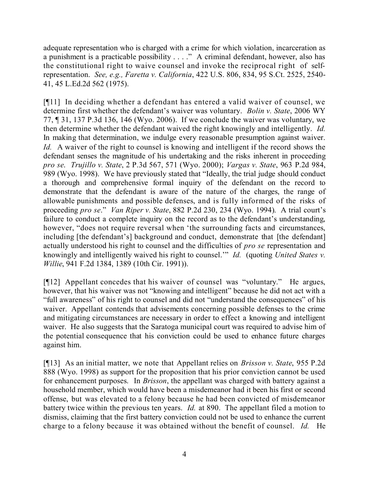adequate representation who is charged with a crime for which violation, incarceration as a punishment is a practicable possibility . . . ." A criminal defendant, however, also has the constitutional right to waive counsel and invoke the reciprocal right of selfrepresentation. *See, e.g., Faretta v. California*, 422 U.S. 806, 834, 95 S.Ct. 2525, 2540- 41, 45 L.Ed.2d 562 (1975).

[¶11] In deciding whether a defendant has entered a valid waiver of counsel, we determine first whether the defendant's waiver was voluntary. *Bolin v. State*, 2006 WY 77, ¶ 31, 137 P.3d 136, 146 (Wyo. 2006). If we conclude the waiver was voluntary, we then determine whether the defendant waived the right knowingly and intelligently. *Id.* In making that determination, we indulge every reasonable presumption against waiver. *Id.* A waiver of the right to counsel is knowing and intelligent if the record shows the defendant senses the magnitude of his undertaking and the risks inherent in proceeding *pro se*. *Trujillo v. State*, 2 P.3d 567, 571 (Wyo. 2000); *Vargas v. State*, 963 P.2d 984, 989 (Wyo. 1998). We have previously stated that "Ideally, the trial judge should conduct a thorough and comprehensive formal inquiry of the defendant on the record to demonstrate that the defendant is aware of the nature of the charges, the range of allowable punishments and possible defenses, and is fully informed of the risks of proceeding *pro se*." *Van Riper v. State*, 882 P.2d 230, 234 (Wyo. 1994). A trial court's failure to conduct a complete inquiry on the record as to the defendant's understanding, however, "does not require reversal when 'the surrounding facts and circumstances, including [the defendant's] background and conduct, demonstrate that [the defendant] actually understood his right to counsel and the difficulties of *pro se* representation and knowingly and intelligently waived his right to counsel.'" *Id.* (quoting *United States v. Willie*, 941 F.2d 1384, 1389 (10th Cir. 1991)).

[¶12] Appellant concedes that his waiver of counsel was "voluntary." He argues, however, that his waiver was not "knowing and intelligent" because he did not act with a "full awareness" of his right to counsel and did not "understand the consequences" of his waiver. Appellant contends that advisements concerning possible defenses to the crime and mitigating circumstances are necessary in order to effect a knowing and intelligent waiver. He also suggests that the Saratoga municipal court was required to advise him of the potential consequence that his conviction could be used to enhance future charges against him.

[¶13] As an initial matter, we note that Appellant relies on *Brisson v. State*, 955 P.2d 888 (Wyo. 1998) as support for the proposition that his prior conviction cannot be used for enhancement purposes. In *Brisson*, the appellant was charged with battery against a household member, which would have been a misdemeanor had it been his first or second offense, but was elevated to a felony because he had been convicted of misdemeanor battery twice within the previous ten years. *Id.* at 890. The appellant filed a motion to dismiss, claiming that the first battery conviction could not be used to enhance the current charge to a felony because it was obtained without the benefit of counsel. *Id.* He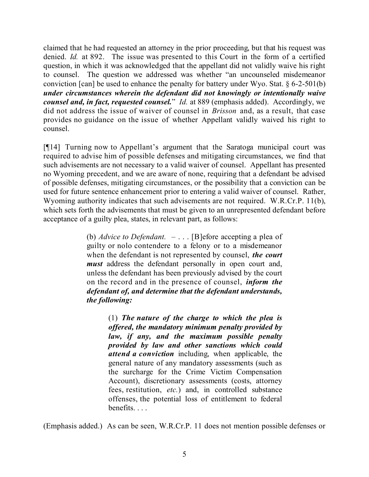claimed that he had requested an attorney in the prior proceeding, but that his request was denied. *Id.* at 892. The issue was presented to this Court in the form of a certified question, in which it was acknowledged that the appellant did not validly waive his right to counsel. The question we addressed was whether "an uncounseled misdemeanor conviction [can] be used to enhance the penalty for battery under Wyo. Stat. § 6-2-501(b) *under circumstances wherein the defendant did not knowingly or intentionally waive counsel and, in fact, requested counsel.*" *Id.* at 889 (emphasis added). Accordingly, we did not address the issue of waiver of counsel in *Brisson* and, as a result, that case provides no guidance on the issue of whether Appellant validly waived his right to counsel.

[¶14] Turning now to Appellant's argument that the Saratoga municipal court was required to advise him of possible defenses and mitigating circumstances, we find that such advisements are not necessary to a valid waiver of counsel. Appellant has presented no Wyoming precedent, and we are aware of none, requiring that a defendant be advised of possible defenses, mitigating circumstances, or the possibility that a conviction can be used for future sentence enhancement prior to entering a valid waiver of counsel. Rather, Wyoming authority indicates that such advisements are not required. W.R.Cr.P. 11(b), which sets forth the advisements that must be given to an unrepresented defendant before acceptance of a guilty plea, states, in relevant part, as follows:

> (b) *Advice to Defendant.* – . . . [B]efore accepting a plea of guilty or nolo contendere to a felony or to a misdemeanor when the defendant is not represented by counsel, *the court must* address the defendant personally in open court and, unless the defendant has been previously advised by the court on the record and in the presence of counsel, *inform the defendant of, and determine that the defendant understands, the following:*

> > (1) *The nature of the charge to which the plea is offered, the mandatory minimum penalty provided by law, if any, and the maximum possible penalty provided by law and other sanctions which could attend a conviction* including, when applicable, the general nature of any mandatory assessments (such as the surcharge for the Crime Victim Compensation Account), discretionary assessments (costs, attorney fees, restitution, *etc.*) and, in controlled substance offenses, the potential loss of entitlement to federal benefits. . . .

(Emphasis added.) As can be seen, W.R.Cr.P. 11 does not mention possible defenses or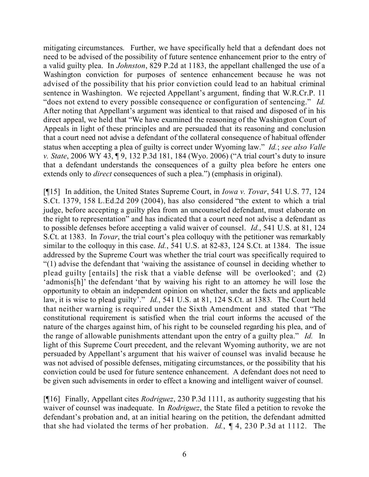mitigating circumstances. Further, we have specifically held that a defendant does not need to be advised of the possibility of future sentence enhancement prior to the entry of a valid guilty plea. In *Johnston*, 829 P.2d at 1183, the appellant challenged the use of a Washington conviction for purposes of sentence enhancement because he was not advised of the possibility that his prior conviction could lead to an habitual criminal sentence in Washington. We rejected Appellant's argument, finding that W.R.Cr.P. 11 "does not extend to every possible consequence or configuration of sentencing." *Id.* After noting that Appellant's argument was identical to that raised and disposed of in his direct appeal, we held that "We have examined the reasoning of the Washington Court of Appeals in light of these principles and are persuaded that its reasoning and conclusion that a court need not advise a defendant of the collateral consequence of habitual offender status when accepting a plea of guilty is correct under Wyoming law." *Id.*; *see also Valle v. State*, 2006 WY 43, ¶ 9, 132 P.3d 181, 184 (Wyo. 2006) ("A trial court's duty to insure that a defendant understands the consequences of a guilty plea before he enters one extends only to *direct* consequences of such a plea.") (emphasis in original).

[¶15] In addition, the United States Supreme Court, in *Iowa v. Tovar*, 541 U.S. 77, 124 S.Ct. 1379, 158 L.Ed.2d 209 (2004), has also considered "the extent to which a trial judge, before accepting a guilty plea from an uncounseled defendant, must elaborate on the right to representation" and has indicated that a court need not advise a defendant as to possible defenses before accepting a valid waiver of counsel. *Id.*, 541 U.S. at 81, 124 S.Ct. at 1383. In *Tovar*, the trial court's plea colloquy with the petitioner was remarkably similar to the colloquy in this case. *Id.*, 541 U.S. at 82-83, 124 S.Ct. at 1384. The issue addressed by the Supreme Court was whether the trial court was specifically required to "(1) advise the defendant that 'waiving the assistance of counsel in deciding whether to plead guilty [entails] the risk that a viable defense will be overlooked'; and (2) 'admonis[h]' the defendant 'that by waiving his right to an attorney he will lose the opportunity to obtain an independent opinion on whether, under the facts and applicable law, it is wise to plead guilty'." *Id.*, 541 U.S. at 81, 124 S.Ct. at 1383. The Court held that neither warning is required under the Sixth Amendment and stated that "The constitutional requirement is satisfied when the trial court informs the accused of the nature of the charges against him, of his right to be counseled regarding his plea, and of the range of allowable punishments attendant upon the entry of a guilty plea." *Id.* In light of this Supreme Court precedent, and the relevant Wyoming authority, we are not persuaded by Appellant's argument that his waiver of counsel was invalid because he was not advised of possible defenses, mitigating circumstances, or the possibility that his conviction could be used for future sentence enhancement. A defendant does not need to be given such advisements in order to effect a knowing and intelligent waiver of counsel.

[¶16] Finally, Appellant cites *Rodriguez*, 230 P.3d 1111, as authority suggesting that his waiver of counsel was inadequate. In *Rodriguez*, the State filed a petition to revoke the defendant's probation and, at an initial hearing on the petition, the defendant admitted that she had violated the terms of her probation. *Id.*, ¶ 4, 230 P.3d at 1112. The